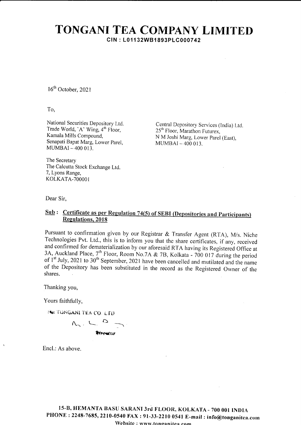## TONGANI TEA COMPANY LIMITED CIN : L011 32W81893PLC000742

16<sup>th</sup> October, 2021

To,

National Securities Depository Ltd Trade World, 'A' Wing, 4<sup>th</sup> Floor, Kamala Mills Compound, Senapati Bapat Marg, Lower parel,  $MUMBAI - 400013$ 

Central Depository Services (lndia) Ltd 25<sup>th</sup> Floor, Marathon Futurex, N M Joshi Marg, Lower parel (East), MUMBAI \_ 4OO OI3.

The Secretary The Calcutta Stock Exchange Ltd 7, Lyons Range, KOLKATA-7OOOO1

Dear Sir,

## $Sub:$  Certificate as per Regulation 74(5) of SEBI (Depositories and Participants) Regulations, 2018

Pursuant to confirmation given by our Registrar & Transfer Agent (RTA), M/s. Niche Technologies Pvt. Ltd., this is to inform you that the share certificates, if any, received and confirmed for dematerialization by our aforesaid RTA having its Registered Office at 3A, Auckland Place,  $7^{\text{th}}$  Floor, Room No.7A & 7B, Kolkata - 700 017 during the period of  $1^{\text{st}}$  July, 2021 to 30<sup>th</sup> September, 2021 have been cancelled and mutilated and the name of the Depository has been substituted in the record as the Registered Owner of the shares.

Thanking you,

Yours faithfully,

EW TONGANL TEA CO. LTD

 $n_{c}$ ,  $n_{c}$ ,  $D$ \*Irrerrmt

Encl.: As above